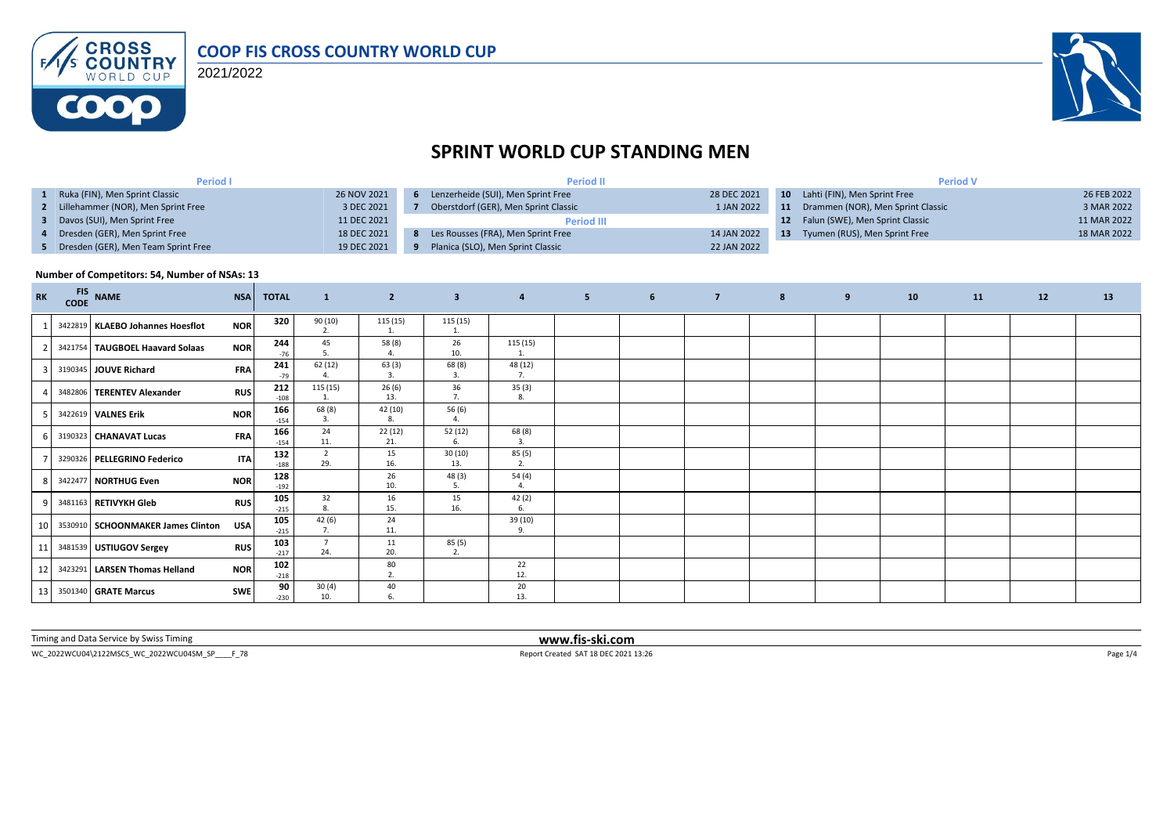

2021/2022



# **SPRINT WORLD CUP STANDING MEN**

| <b>Period I</b>                       |             | <b>Period II</b>                     |             | <b>Period V</b> |                                    |             |  |  |
|---------------------------------------|-------------|--------------------------------------|-------------|-----------------|------------------------------------|-------------|--|--|
| Ruka (FIN), Men Sprint Classic        | 26 NOV 2021 | Lenzerheide (SUI), Men Sprint Free   | 28 DEC 2021 |                 | 10 Lahti (FIN), Men Sprint Free    | 26 FEB 2022 |  |  |
| 2 Lillehammer (NOR), Men Sprint Free  | 3 DEC 2021  | Oberstdorf (GER), Men Sprint Classic | 1 JAN 2022  | 11              | Drammen (NOR), Men Sprint Classic  | 3 MAR 2022  |  |  |
| Davos (SUI), Men Sprint Free          | 11 DEC 2021 | <b>Period III</b>                    |             |                 | 12 Falun (SWE), Men Sprint Classic | 11 MAR 2022 |  |  |
| 4 Dresden (GER), Men Sprint Free      | 18 DEC 2021 | Les Rousses (FRA), Men Sprint Free   | 14 JAN 2022 | -13             | Tyumen (RUS), Men Sprint Free      | 18 MAR 2022 |  |  |
| 5 Dresden (GER), Men Team Sprint Free | 19 DEC 2021 | Planica (SLO), Men Sprint Classic    | 22 JAN 2022 |                 |                                    |             |  |  |

#### **Number of Competitors: 54, Number of NSAs: 13**

| <b>RK</b>       | FIS NAME                          | <b>NSA</b> | <b>TOTAL</b>  | $\mathbf{1}$              | $\overline{2}$ | $\overline{\mathbf{3}}$ | $\overline{4}$ | 5 <sup>2</sup> | 6 <sup>6</sup> | $\overline{7}$ | 8 | 9 | 10 | 11 | 12 | 13 |
|-----------------|-----------------------------------|------------|---------------|---------------------------|----------------|-------------------------|----------------|----------------|----------------|----------------|---|---|----|----|----|----|
|                 | 3422819 KLAEBO Johannes Hoesflot  | <b>NOR</b> | 320           | 90 (10)<br>$\overline{2}$ | 115(15)<br>1.  | 115(15)                 |                |                |                |                |   |   |    |    |    |    |
|                 | 3421754 TAUGBOEL Haavard Solaas   | <b>NOR</b> | 244<br>$-76$  | 45<br>.5                  | 58 (8)<br>4.   | 26<br>10.               | 115 (15)<br>1. |                |                |                |   |   |    |    |    |    |
|                 | 3190345 JOUVE Richard             | <b>FRA</b> | 241<br>$-79$  | 62(12)                    | 63(3)<br>3.    | 68 (8)<br>-3.           | 48 (12)<br>7.  |                |                |                |   |   |    |    |    |    |
|                 | 3482806 TERENTEV Alexander        | <b>RUS</b> | 212<br>$-108$ | 115 (15)<br>1.            | 26(6)<br>13.   | 36<br>7.                | 35(3)<br>8.    |                |                |                |   |   |    |    |    |    |
|                 | 3422619 VALNES Erik               | <b>NOR</b> | 166<br>$-154$ | 68 (8)<br>$\overline{3}$  | 42 (10)<br>8.  | 56 (6)                  |                |                |                |                |   |   |    |    |    |    |
|                 | 3190323 CHANAVAT Lucas            | <b>FRA</b> | 166<br>$-154$ | 24<br>11.                 | 22(12)<br>21.  | 52 (12)<br>6.           | 68(8)<br>3.    |                |                |                |   |   |    |    |    |    |
|                 | 3290326 PELLEGRINO Federico       | <b>ITA</b> | 132<br>$-188$ | $\overline{2}$<br>29.     | 15<br>16.      | 30(10)<br>13.           | 85(5)<br>2.    |                |                |                |   |   |    |    |    |    |
| 81              | 3422477 NORTHUG Even              | <b>NOR</b> | 128<br>$-192$ |                           | 26<br>10.      | 48 (3)<br>5             | 54(4)          |                |                |                |   |   |    |    |    |    |
|                 | 3481163 RETIVYKH Gleb             | <b>RUS</b> | 105<br>$-215$ | 32<br>8.                  | 16<br>15.      | 15<br>16.               | 42(2)<br>6.    |                |                |                |   |   |    |    |    |    |
| 10 <sup>1</sup> | 3530910 SCHOONMAKER James Clinton | <b>USA</b> | 105<br>$-215$ | 42(6)                     | 24<br>11.      |                         | 39 (10)<br>9.  |                |                |                |   |   |    |    |    |    |
| 11              | 3481539 USTIUGOV Sergey           | <b>RUS</b> | 103<br>$-217$ | $\overline{7}$<br>24.     | 11<br>20.      | 85 (5)<br>2.            |                |                |                |                |   |   |    |    |    |    |
| 12              | 3423291   LARSEN Thomas Helland   | <b>NOR</b> | 102<br>$-218$ |                           | 80<br>2.       |                         | 22<br>12.      |                |                |                |   |   |    |    |    |    |
| 13 <sup>1</sup> | 3501340 GRATE Marcus              | <b>SWE</b> | 90<br>$-230$  | 30(4)<br>10.              | 40<br>6.       |                         | 20<br>13.      |                |                |                |   |   |    |    |    |    |

Timing and Data Service by Swiss Timing **www.fis-ski.com**

WC\_2022WCU04\2122MSCS\_WC\_2022WCU04SM\_SP\_\_\_F\_78 <br>
Page 1/4 Report Created SAT 18 DEC 2021 13:26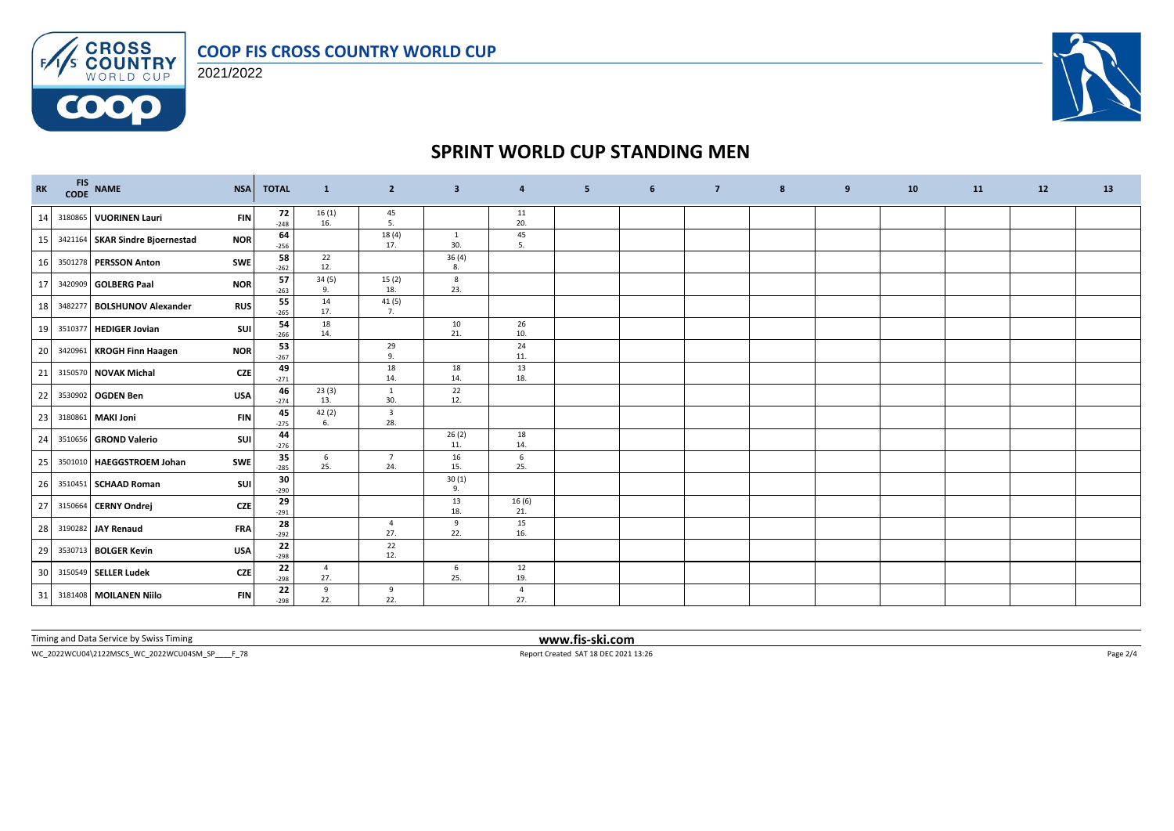

FAS CROSS 2021/2022

**COOO** 



### **SPRINT WORLD CUP STANDING MEN**

| RK |         | FIS NAME<br>CODE NAME           | <b>NSA</b> | <b>TOTAL</b> | $\mathbf{1}$          | $\overline{2}$                 | $\overline{\mathbf{3}}$ | 4            | 5 | 6 | $\overline{7}$ | 8 | 9 | 10 | 11 | 12 | 13 |
|----|---------|---------------------------------|------------|--------------|-----------------------|--------------------------------|-------------------------|--------------|---|---|----------------|---|---|----|----|----|----|
| 14 |         | 3180865 VUORINEN Lauri          | <b>FIN</b> | 72<br>$-248$ | $\frac{16(1)}{16}$    | 45<br>5.                       |                         | 11<br>20.    |   |   |                |   |   |    |    |    |    |
| 15 |         | 3421164 SKAR Sindre Bjoernestad | <b>NOR</b> | 64<br>$-256$ |                       | 18 (4)<br>17.                  | 1<br>30.                | 45<br>5.     |   |   |                |   |   |    |    |    |    |
| 16 |         | 3501278 PERSSON Anton           | <b>SWE</b> | 58<br>$-262$ | 22<br>12.             |                                | 36(4)<br>8.             |              |   |   |                |   |   |    |    |    |    |
| 17 |         | 3420909 GOLBERG Paal            | <b>NOR</b> | 57<br>$-263$ | 34(5)<br>9.           | 15(2)<br>18.                   | 8<br>23.                |              |   |   |                |   |   |    |    |    |    |
| 18 | 3482277 | <b>BOLSHUNOV Alexander</b>      | <b>RUS</b> | 55<br>$-265$ | 14<br>17.             | 41 (5)<br>7.                   |                         |              |   |   |                |   |   |    |    |    |    |
| 19 | 3510377 | <b>HEDIGER Jovian</b>           | <b>SUI</b> | 54<br>$-266$ | 18<br>14.             |                                | 10<br>21.               | 26<br>10.    |   |   |                |   |   |    |    |    |    |
| 20 | 3420961 | <b>KROGH Finn Haagen</b>        | <b>NOR</b> | 53<br>$-267$ |                       | 29<br>9.                       |                         | 24<br>11.    |   |   |                |   |   |    |    |    |    |
| 21 |         | 3150570 NOVAK Michal            | CZE        | 49<br>$-271$ |                       | 18<br>14.                      | 18<br>14.               | 13<br>18.    |   |   |                |   |   |    |    |    |    |
| 22 |         | 3530902 OGDEN Ben               | <b>USA</b> | 46<br>$-274$ | 23(3)<br>13.          | $\mathbf{1}$<br>30.            | 22<br>12.               |              |   |   |                |   |   |    |    |    |    |
| 23 |         | 3180861 MAKI Joni               | <b>FIN</b> | 45<br>$-275$ | 42(2)<br>6.           | $\overline{\mathbf{3}}$<br>28. |                         |              |   |   |                |   |   |    |    |    |    |
| 24 |         | 3510656 GROND Valerio           | <b>SUI</b> | 44<br>$-276$ |                       |                                | 26(2)<br>11.            | 18<br>14.    |   |   |                |   |   |    |    |    |    |
| 25 |         | 3501010 HAEGGSTROEM Johan       | <b>SWE</b> | 35<br>$-285$ | 6<br>25.              | $\overline{7}$<br>24.          | 16<br>15.               | 6<br>25.     |   |   |                |   |   |    |    |    |    |
| 26 |         | 3510451 SCHAAD Roman            | <b>SUI</b> | 30<br>$-290$ |                       |                                | 30(1)<br>9.             |              |   |   |                |   |   |    |    |    |    |
| 27 |         | 3150664 CERNY Ondrej            | <b>CZE</b> | 29<br>$-291$ |                       |                                | 13<br>18.               | 16(6)<br>21. |   |   |                |   |   |    |    |    |    |
| 28 |         | 3190282 JAY Renaud              | <b>FRA</b> | 28<br>$-292$ |                       | 4<br>27.                       | 9<br>22.                | 15<br>16.    |   |   |                |   |   |    |    |    |    |
| 29 |         | 3530713 BOLGER Kevin            | <b>USA</b> | 22<br>$-298$ |                       | 22<br>12.                      |                         |              |   |   |                |   |   |    |    |    |    |
| 30 |         | 3150549 SELLER Ludek            | <b>CZE</b> | 22<br>$-298$ | $\overline{4}$<br>27. |                                | 6<br>25.                | 12<br>19.    |   |   |                |   |   |    |    |    |    |
|    |         | 31 3181408 MOILANEN Niilo       | <b>FIN</b> | 22<br>$-298$ | 9<br>22.              | 9<br>22.                       |                         | 4<br>27.     |   |   |                |   |   |    |    |    |    |

Timing and Data Service by Swiss Timing **www.fis-ski.com**

 $\small \textsf{WC\_2022WCUO4\textbackslash 2122MSCS\_WC\_2022WCUO4SM\_SP\_{}\_F\_78 \textcolor{red}{Page~2/4}$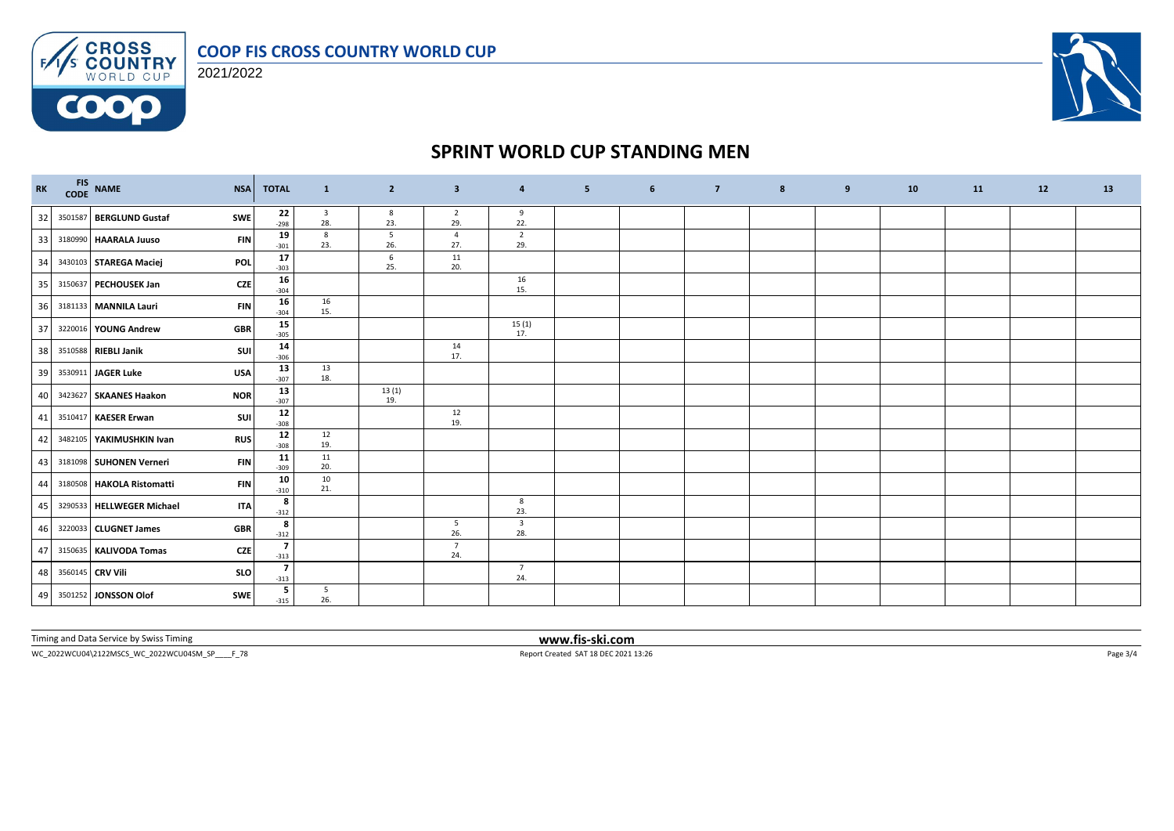

FAS CROSS 2021/2022

**COOO** 



### **SPRINT WORLD CUP STANDING MEN**

|    | RK FIS NAME | <b>NSA</b>                                | <b>TOTAL</b>                       | $\mathbf{1}$                   | $\overline{2}$ | $\overline{\mathbf{3}}$ | $\overline{4}$                 | 5 <sup>2</sup> | 6 | $\overline{7}$ | 8 | 9 | 10 | 11 | 12 | 13 |
|----|-------------|-------------------------------------------|------------------------------------|--------------------------------|----------------|-------------------------|--------------------------------|----------------|---|----------------|---|---|----|----|----|----|
| 32 |             | 3501587 BERGLUND Gustaf<br>SWE            | 22<br>$-298$                       | $\overline{\mathbf{3}}$<br>28. | 8<br>23.       | $\overline{2}$<br>29.   | 9<br>22.                       |                |   |                |   |   |    |    |    |    |
| 33 |             | 3180990 HAARALA Juuso<br><b>FIN</b>       | 19<br>$-301$                       | 8<br>23.                       | 5<br>26.       | $\overline{4}$<br>27.   | $\overline{2}$<br>29.          |                |   |                |   |   |    |    |    |    |
| 34 |             | 3430103 STAREGA Maciej<br><b>POL</b>      | 17<br>$-303$                       |                                | 6<br>25.       | 11<br>20.               |                                |                |   |                |   |   |    |    |    |    |
| 35 |             | 3150637 PECHOUSEK Jan<br><b>CZE</b>       | 16<br>$-304$                       |                                |                |                         | 16<br>15.                      |                |   |                |   |   |    |    |    |    |
| 36 |             | 3181133 MANNILA Lauri<br><b>FIN</b>       | 16<br>$-304$                       | 16<br>15.                      |                |                         |                                |                |   |                |   |   |    |    |    |    |
| 37 |             | 3220016 YOUNG Andrew<br><b>GBR</b>        | 15<br>$-305$                       |                                |                |                         | 15(1)<br>17.                   |                |   |                |   |   |    |    |    |    |
| 38 |             | SUI<br>3510588 RIEBLI Janik               | 14<br>$-306$                       |                                |                | 14<br>17.               |                                |                |   |                |   |   |    |    |    |    |
| 39 |             | 3530911 JAGER Luke<br><b>USA</b>          | 13<br>$-307$                       | 13<br>18.                      |                |                         |                                |                |   |                |   |   |    |    |    |    |
| 40 |             | 3423627 SKAANES Haakon<br><b>NOR</b>      | 13<br>$-307$                       |                                | 13(1)<br>19.   |                         |                                |                |   |                |   |   |    |    |    |    |
| 41 |             | <b>SUI</b><br>3510417 KAESER Erwan        | $12\,$<br>$-308$                   |                                |                | 12<br>19.               |                                |                |   |                |   |   |    |    |    |    |
| 42 |             | 3482105 YAKIMUSHKIN Ivan<br><b>RUS</b>    | 12<br>$-308$                       | 12<br>19.                      |                |                         |                                |                |   |                |   |   |    |    |    |    |
| 43 |             | 3181098 SUHONEN Verneri<br><b>FIN</b>     | 11<br>$-309$                       | 11<br>20.                      |                |                         |                                |                |   |                |   |   |    |    |    |    |
| 44 |             | 3180508   HAKOLA Ristomatti<br><b>FIN</b> | 10<br>$-310$                       | 10<br>21.                      |                |                         |                                |                |   |                |   |   |    |    |    |    |
| 45 |             | 3290533 HELLWEGER Michael<br><b>ITA</b>   | 8<br>$-312$                        |                                |                |                         | 8<br>23.                       |                |   |                |   |   |    |    |    |    |
| 46 |             | 3220033 CLUGNET James<br><b>GBR</b>       | 8<br>$-312$                        |                                |                | 5<br>26.                | $\overline{\mathbf{3}}$<br>28. |                |   |                |   |   |    |    |    |    |
| 47 |             | <b>CZE</b><br>3150635 KALIVODA Tomas      | $\overline{\phantom{a}}$<br>$-313$ |                                |                | $7\overline{ }$<br>24.  |                                |                |   |                |   |   |    |    |    |    |
| 48 |             | 3560145 CRV Vili<br><b>SLO</b>            | $\overline{7}$<br>$-313$           |                                |                |                         | $\overline{7}$<br>24.          |                |   |                |   |   |    |    |    |    |
| 49 |             | 3501252 JONSSON Olof<br><b>SWE</b>        | 5<br>$-315$                        | 5<br>26.                       |                |                         |                                |                |   |                |   |   |    |    |    |    |

Timing and Data Service by Swiss Timing **www.fis-ski.com**

 $WC_2022WCU04\text{V122MSCS_WC_2022WCU045M\_SP_\_\_F78} \label{eq:WCC202113:26} \vspace{-0.1cm} \textbf{Report Created SAT 18 DEC2021 13:26}$